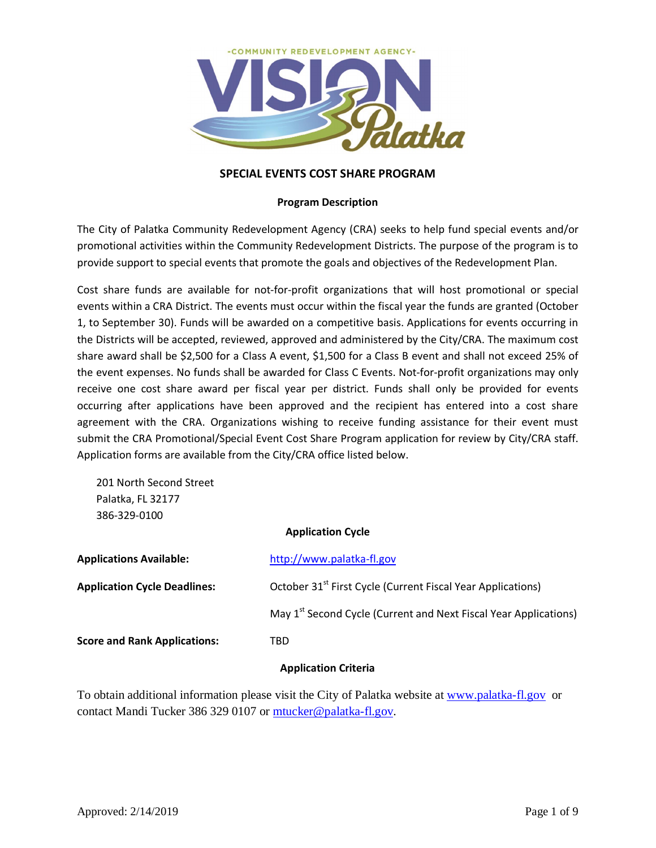

# **SPECIAL EVENTS COST SHARE PROGRAM**

# **Program Description**

The City of Palatka Community Redevelopment Agency (CRA) seeks to help fund special events and/or promotional activities within the Community Redevelopment Districts. The purpose of the program is to provide support to special events that promote the goals and objectives of the Redevelopment Plan.

Cost share funds are available for not-for-profit organizations that will host promotional or special events within a CRA District. The events must occur within the fiscal year the funds are granted (October 1, to September 30). Funds will be awarded on a competitive basis. Applications for events occurring in the Districts will be accepted, reviewed, approved and administered by the City/CRA. The maximum cost share award shall be \$2,500 for a Class A event, \$1,500 for a Class B event and shall not exceed 25% of the event expenses. No funds shall be awarded for Class C Events. Not-for-profit organizations may only receive one cost share award per fiscal year per district. Funds shall only be provided for events occurring after applications have been approved and the recipient has entered into a cost share agreement with the CRA. Organizations wishing to receive funding assistance for their event must submit the CRA Promotional/Special Event Cost Share Program application for review by City/CRA staff. Application forms are available from the City/CRA office listed below.

201 North Second Street Palatka, FL 32177 386-329-0100

# **Application Cycle**

| <b>Applications Available:</b>      | http://www.palatka-fl.gov                                                    |  |
|-------------------------------------|------------------------------------------------------------------------------|--|
| <b>Application Cycle Deadlines:</b> | October 31 <sup>st</sup> First Cycle (Current Fiscal Year Applications)      |  |
|                                     | May 1 <sup>st</sup> Second Cycle (Current and Next Fiscal Year Applications) |  |
| <b>Score and Rank Applications:</b> | TBD                                                                          |  |
|                                     |                                                                              |  |

# **Application Criteria**

To obtain additional information please visit the City of Palatka website at www.palatka-fl.gov or contact Mandi Tucker 386 329 0107 or mtucker@palatka-fl.gov.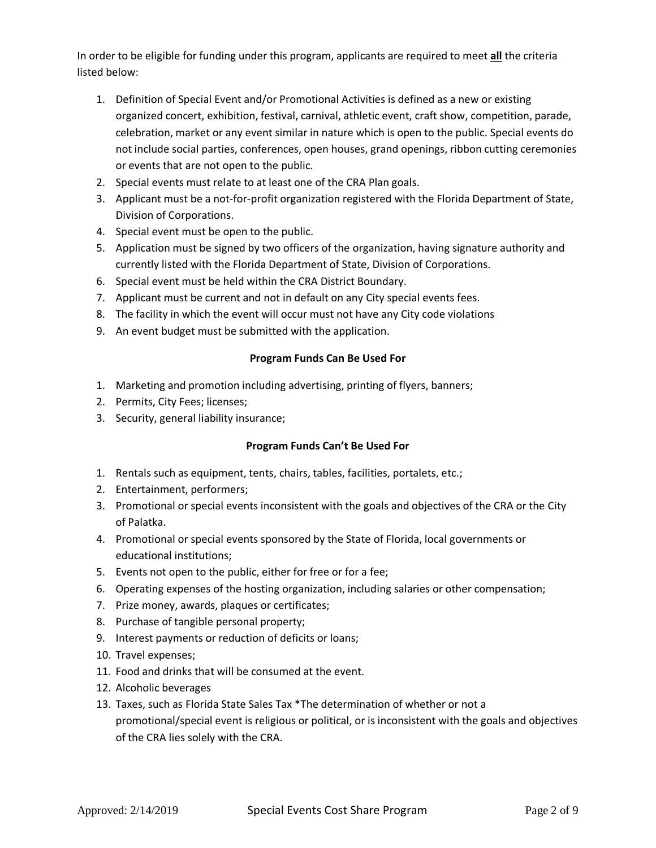In order to be eligible for funding under this program, applicants are required to meet **all** the criteria listed below:

- 1. Definition of Special Event and/or Promotional Activities is defined as a new or existing organized concert, exhibition, festival, carnival, athletic event, craft show, competition, parade, celebration, market or any event similar in nature which is open to the public. Special events do not include social parties, conferences, open houses, grand openings, ribbon cutting ceremonies or events that are not open to the public.
- 2. Special events must relate to at least one of the CRA Plan goals.
- 3. Applicant must be a not-for-profit organization registered with the Florida Department of State, Division of Corporations.
- 4. Special event must be open to the public.
- 5. Application must be signed by two officers of the organization, having signature authority and currently listed with the Florida Department of State, Division of Corporations.
- 6. Special event must be held within the CRA District Boundary.
- 7. Applicant must be current and not in default on any City special events fees.
- 8. The facility in which the event will occur must not have any City code violations
- 9. An event budget must be submitted with the application.

# **Program Funds Can Be Used For**

- 1. Marketing and promotion including advertising, printing of flyers, banners;
- 2. Permits, City Fees; licenses;
- 3. Security, general liability insurance;

# **Program Funds Can't Be Used For**

- 1. Rentals such as equipment, tents, chairs, tables, facilities, portalets, etc.;
- 2. Entertainment, performers;
- 3. Promotional or special events inconsistent with the goals and objectives of the CRA or the City of Palatka.
- 4. Promotional or special events sponsored by the State of Florida, local governments or educational institutions;
- 5. Events not open to the public, either for free or for a fee;
- 6. Operating expenses of the hosting organization, including salaries or other compensation;
- 7. Prize money, awards, plaques or certificates;
- 8. Purchase of tangible personal property;
- 9. Interest payments or reduction of deficits or loans;
- 10. Travel expenses;
- 11. Food and drinks that will be consumed at the event.
- 12. Alcoholic beverages
- 13. Taxes, such as Florida State Sales Tax \*The determination of whether or not a promotional/special event is religious or political, or is inconsistent with the goals and objectives of the CRA lies solely with the CRA.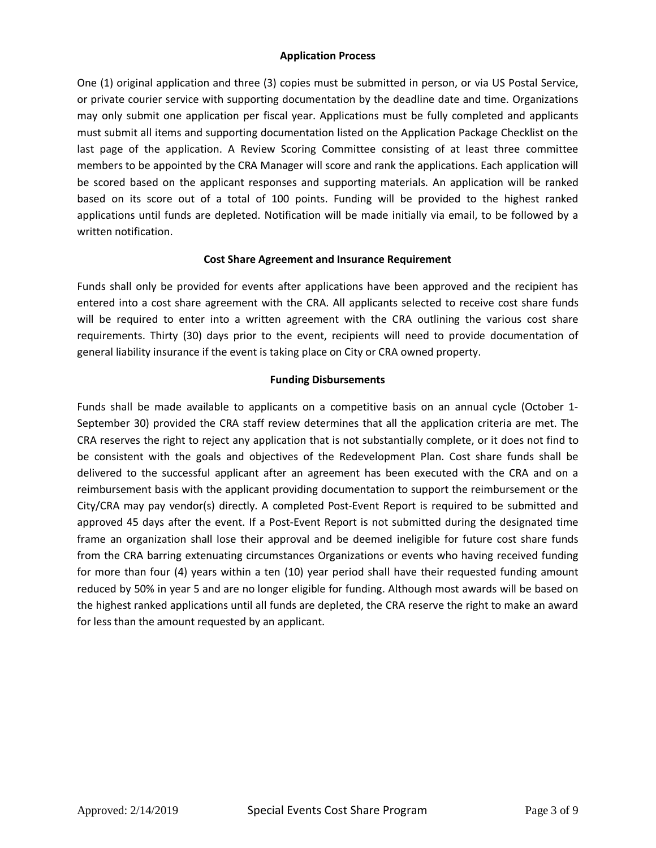# **Application Process**

One (1) original application and three (3) copies must be submitted in person, or via US Postal Service, or private courier service with supporting documentation by the deadline date and time. Organizations may only submit one application per fiscal year. Applications must be fully completed and applicants must submit all items and supporting documentation listed on the Application Package Checklist on the last page of the application. A Review Scoring Committee consisting of at least three committee members to be appointed by the CRA Manager will score and rank the applications. Each application will be scored based on the applicant responses and supporting materials. An application will be ranked based on its score out of a total of 100 points. Funding will be provided to the highest ranked applications until funds are depleted. Notification will be made initially via email, to be followed by a written notification.

# **Cost Share Agreement and Insurance Requirement**

Funds shall only be provided for events after applications have been approved and the recipient has entered into a cost share agreement with the CRA. All applicants selected to receive cost share funds will be required to enter into a written agreement with the CRA outlining the various cost share requirements. Thirty (30) days prior to the event, recipients will need to provide documentation of general liability insurance if the event is taking place on City or CRA owned property.

# **Funding Disbursements**

Funds shall be made available to applicants on a competitive basis on an annual cycle (October 1- September 30) provided the CRA staff review determines that all the application criteria are met. The CRA reserves the right to reject any application that is not substantially complete, or it does not find to be consistent with the goals and objectives of the Redevelopment Plan. Cost share funds shall be delivered to the successful applicant after an agreement has been executed with the CRA and on a reimbursement basis with the applicant providing documentation to support the reimbursement or the City/CRA may pay vendor(s) directly. A completed Post-Event Report is required to be submitted and approved 45 days after the event. If a Post-Event Report is not submitted during the designated time frame an organization shall lose their approval and be deemed ineligible for future cost share funds from the CRA barring extenuating circumstances Organizations or events who having received funding for more than four (4) years within a ten (10) year period shall have their requested funding amount reduced by 50% in year 5 and are no longer eligible for funding. Although most awards will be based on the highest ranked applications until all funds are depleted, the CRA reserve the right to make an award for less than the amount requested by an applicant.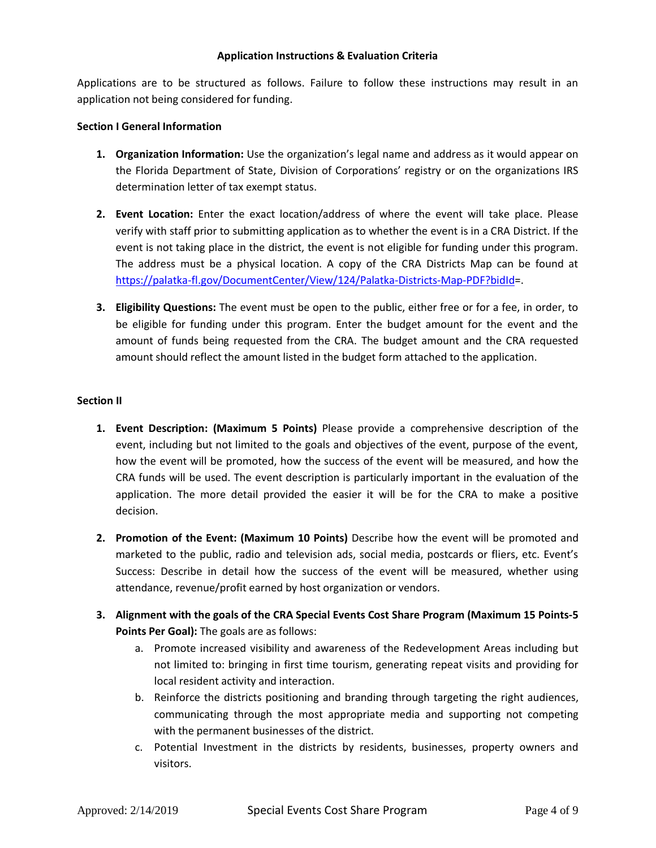### **Application Instructions & Evaluation Criteria**

Applications are to be structured as follows. Failure to follow these instructions may result in an application not being considered for funding.

# **Section I General Information**

- **1. Organization Information:** Use the organization's legal name and address as it would appear on the Florida Department of State, Division of Corporations' registry or on the organizations IRS determination letter of tax exempt status.
- **2. Event Location:** Enter the exact location/address of where the event will take place. Please verify with staff prior to submitting application as to whether the event is in a CRA District. If the event is not taking place in the district, the event is not eligible for funding under this program. The address must be a physical location. A copy of the CRA Districts Map can be found at https://palatka-fl.gov/DocumentCenter/View/124/Palatka-Districts-Map-PDF?bidId=.
- **3. Eligibility Questions:** The event must be open to the public, either free or for a fee, in order, to be eligible for funding under this program. Enter the budget amount for the event and the amount of funds being requested from the CRA. The budget amount and the CRA requested amount should reflect the amount listed in the budget form attached to the application.

# **Section II**

- **1. Event Description: (Maximum 5 Points)** Please provide a comprehensive description of the event, including but not limited to the goals and objectives of the event, purpose of the event, how the event will be promoted, how the success of the event will be measured, and how the CRA funds will be used. The event description is particularly important in the evaluation of the application. The more detail provided the easier it will be for the CRA to make a positive decision.
- **2. Promotion of the Event: (Maximum 10 Points)** Describe how the event will be promoted and marketed to the public, radio and television ads, social media, postcards or fliers, etc. Event's Success: Describe in detail how the success of the event will be measured, whether using attendance, revenue/profit earned by host organization or vendors.
- **3. Alignment with the goals of the CRA Special Events Cost Share Program (Maximum 15 Points-5 Points Per Goal):** The goals are as follows:
	- a. Promote increased visibility and awareness of the Redevelopment Areas including but not limited to: bringing in first time tourism, generating repeat visits and providing for local resident activity and interaction.
	- b. Reinforce the districts positioning and branding through targeting the right audiences, communicating through the most appropriate media and supporting not competing with the permanent businesses of the district.
	- c. Potential Investment in the districts by residents, businesses, property owners and visitors.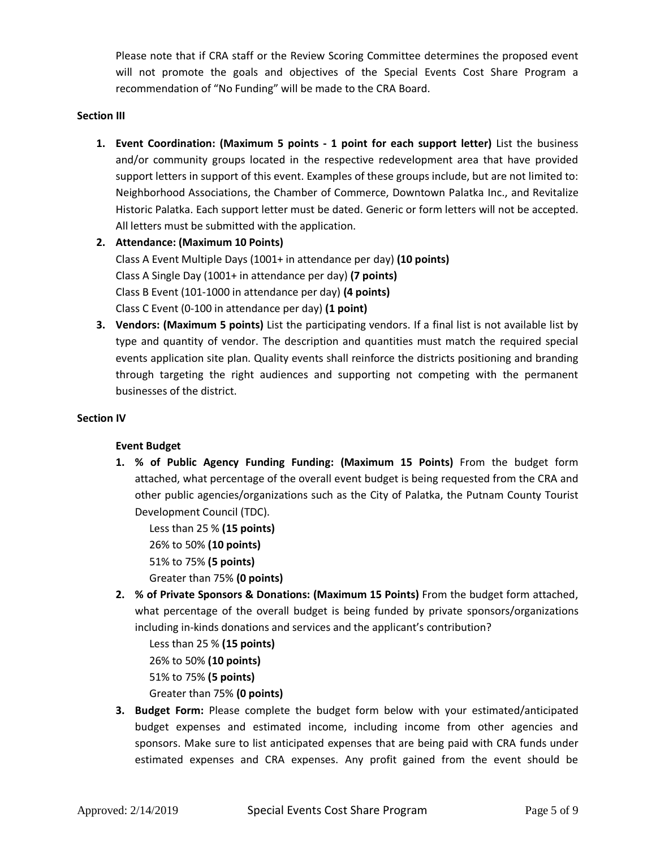Please note that if CRA staff or the Review Scoring Committee determines the proposed event will not promote the goals and objectives of the Special Events Cost Share Program a recommendation of "No Funding" will be made to the CRA Board.

# **Section III**

- **1. Event Coordination: (Maximum 5 points - 1 point for each support letter)** List the business and/or community groups located in the respective redevelopment area that have provided support letters in support of this event. Examples of these groups include, but are not limited to: Neighborhood Associations, the Chamber of Commerce, Downtown Palatka Inc., and Revitalize Historic Palatka. Each support letter must be dated. Generic or form letters will not be accepted. All letters must be submitted with the application.
- **2. Attendance: (Maximum 10 Points)**  Class A Event Multiple Days (1001+ in attendance per day) **(10 points)** Class A Single Day (1001+ in attendance per day) **(7 points)** Class B Event (101-1000 in attendance per day) **(4 points)** Class C Event (0-100 in attendance per day) **(1 point)**
- **3. Vendors: (Maximum 5 points)** List the participating vendors. If a final list is not available list by type and quantity of vendor. The description and quantities must match the required special events application site plan. Quality events shall reinforce the districts positioning and branding through targeting the right audiences and supporting not competing with the permanent businesses of the district.

### **Section IV**

# **Event Budget**

**1. % of Public Agency Funding Funding: (Maximum 15 Points)** From the budget form attached, what percentage of the overall event budget is being requested from the CRA and other public agencies/organizations such as the City of Palatka, the Putnam County Tourist Development Council (TDC).

Less than 25 % **(15 points)** 26% to 50% **(10 points)** 51% to 75% **(5 points)** Greater than 75% **(0 points)**

**2. % of Private Sponsors & Donations: (Maximum 15 Points)** From the budget form attached, what percentage of the overall budget is being funded by private sponsors/organizations including in-kinds donations and services and the applicant's contribution?

Less than 25 % **(15 points)** 26% to 50% **(10 points)** 51% to 75% **(5 points)** Greater than 75% **(0 points)**

**3. Budget Form:** Please complete the budget form below with your estimated/anticipated budget expenses and estimated income, including income from other agencies and sponsors. Make sure to list anticipated expenses that are being paid with CRA funds under estimated expenses and CRA expenses. Any profit gained from the event should be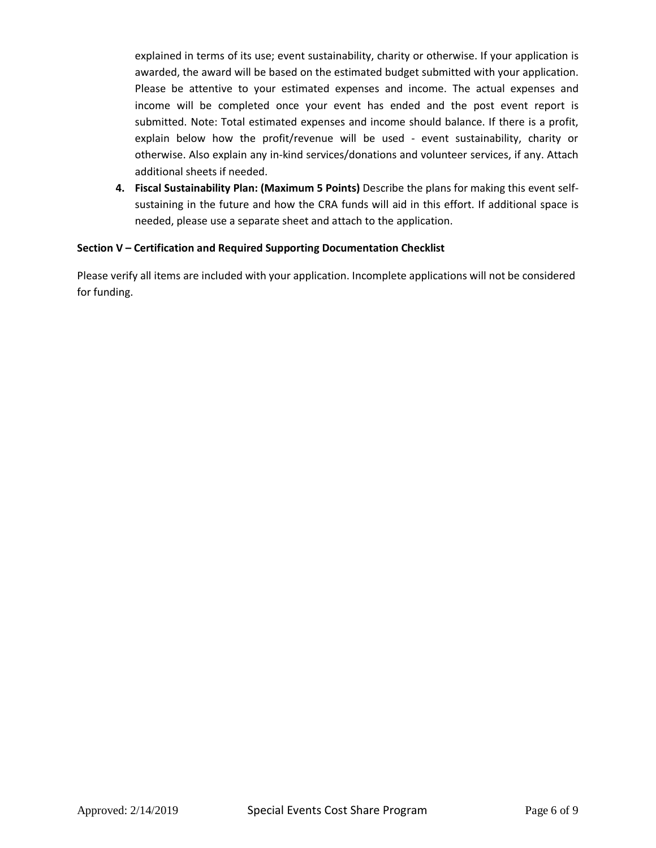explained in terms of its use; event sustainability, charity or otherwise. If your application is awarded, the award will be based on the estimated budget submitted with your application. Please be attentive to your estimated expenses and income. The actual expenses and income will be completed once your event has ended and the post event report is submitted. Note: Total estimated expenses and income should balance. If there is a profit, explain below how the profit/revenue will be used - event sustainability, charity or otherwise. Also explain any in-kind services/donations and volunteer services, if any. Attach additional sheets if needed.

**4. Fiscal Sustainability Plan: (Maximum 5 Points)** Describe the plans for making this event selfsustaining in the future and how the CRA funds will aid in this effort. If additional space is needed, please use a separate sheet and attach to the application.

# **Section V – Certification and Required Supporting Documentation Checklist**

Please verify all items are included with your application. Incomplete applications will not be considered for funding.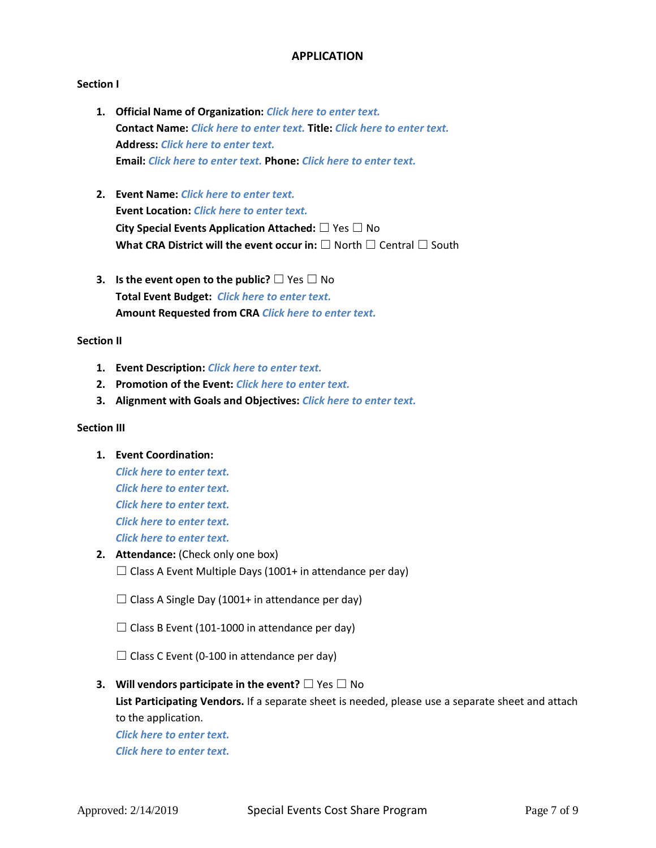# **APPLICATION**

### **Section I**

- **1. Official Name of Organization:** *Click here to enter text.* **Contact Name:** *Click here to enter text.* **Title:** *Click here to enter text.* **Address:** *Click here to enter text.* **Email:** *Click here to enter text.* **Phone:** *Click here to enter text.*
- **2. Event Name:** *Click here to enter text.* **Event Location:** *Click here to enter text.* **City Special Events Application Attached:** ☐ Yes ☐ No **What CRA District will the event occur in:** □ North □ Central □ South
- **3. Is the event open to the public?** □ Yes □ No **Total Event Budget:** *Click here to enter text.* **Amount Requested from CRA** *Click here to enter text.*

#### **Section II**

- **1. Event Description:** *Click here to enter text.*
- **2. Promotion of the Event:** *Click here to enter text.*
- **3. Alignment with Goals and Objectives:** *Click here to enter text.*

#### **Section III**

- **1. Event Coordination:**  *Click here to enter text. Click here to enter text. Click here to enter text. Click here to enter text. Click here to enter text.*
- **2. Attendance:** (Check only one box)  $\Box$  Class A Event Multiple Days (1001+ in attendance per day)
	- $\Box$  Class A Single Day (1001+ in attendance per day)
	- $\Box$  Class B Event (101-1000 in attendance per day)

 $\Box$  Class C Event (0-100 in attendance per day)

**3. Will vendors participate in the event?** □ Yes □ No **List Participating Vendors.** If a separate sheet is needed, please use a separate sheet and attach to the application.

*Click here to enter text. Click here to enter text.*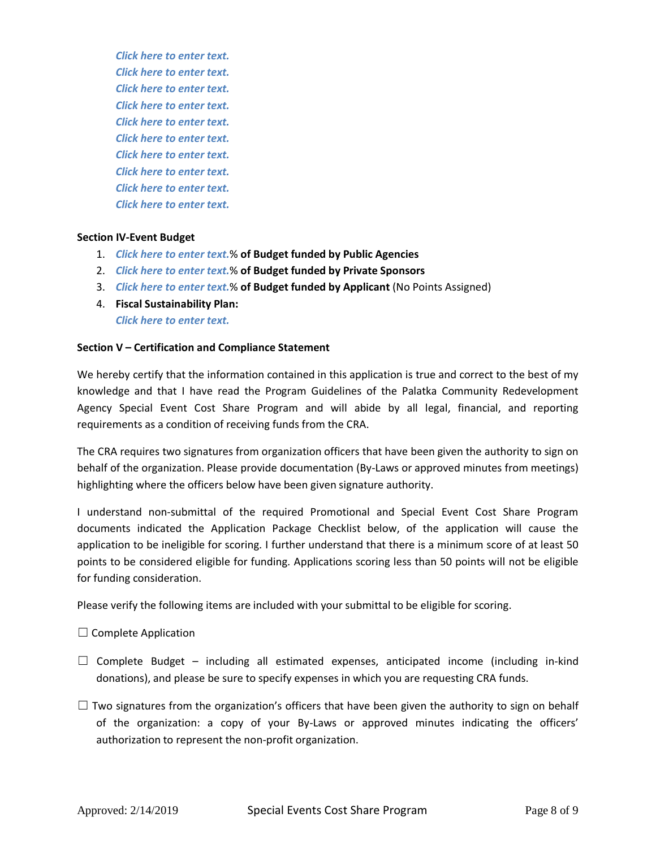*Click here to enter text. Click here to enter text. Click here to enter text. Click here to enter text. Click here to enter text. Click here to enter text. Click here to enter text. Click here to enter text. Click here to enter text. Click here to enter text.*

### **Section IV-Event Budget**

- 1. *Click here to enter text.*% **of Budget funded by Public Agencies**
- 2. *Click here to enter text.*% **of Budget funded by Private Sponsors**
- 3. *Click here to enter text.*% **of Budget funded by Applicant** (No Points Assigned)
- 4. **Fiscal Sustainability Plan:** *Click here to enter text.*

### **Section V – Certification and Compliance Statement**

We hereby certify that the information contained in this application is true and correct to the best of my knowledge and that I have read the Program Guidelines of the Palatka Community Redevelopment Agency Special Event Cost Share Program and will abide by all legal, financial, and reporting requirements as a condition of receiving funds from the CRA.

The CRA requires two signatures from organization officers that have been given the authority to sign on behalf of the organization. Please provide documentation (By-Laws or approved minutes from meetings) highlighting where the officers below have been given signature authority.

I understand non-submittal of the required Promotional and Special Event Cost Share Program documents indicated the Application Package Checklist below, of the application will cause the application to be ineligible for scoring. I further understand that there is a minimum score of at least 50 points to be considered eligible for funding. Applications scoring less than 50 points will not be eligible for funding consideration.

Please verify the following items are included with your submittal to be eligible for scoring.

 $\Box$  Complete Application

- $\Box$  Complete Budget including all estimated expenses, anticipated income (including in-kind donations), and please be sure to specify expenses in which you are requesting CRA funds.
- $\Box$  Two signatures from the organization's officers that have been given the authority to sign on behalf of the organization: a copy of your By-Laws or approved minutes indicating the officers' authorization to represent the non-profit organization.